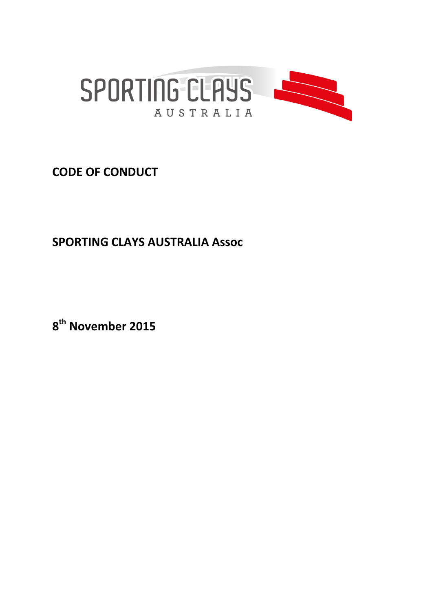

**CODE OF CONDUCT** 

**SPORTING CLAYS AUSTRALIA Assoc**

**8th November 2015**

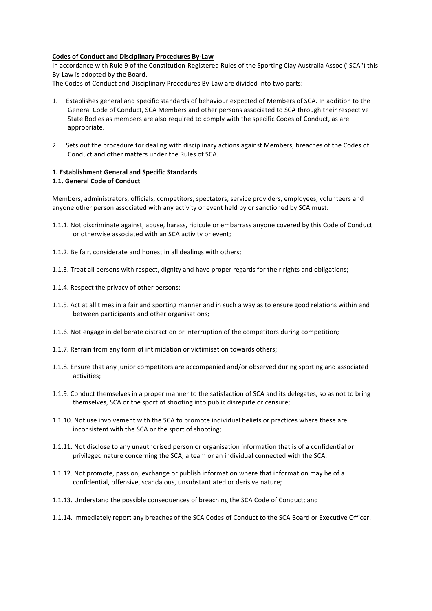## **Codes of Conduct and Disciplinary Procedures By-Law**

In accordance with Rule 9 of the Constitution-Registered Rules of the Sporting Clay Australia Assoc ("SCA") this By-Law is adopted by the Board.

The Codes of Conduct and Disciplinary Procedures By-Law are divided into two parts:

- 1. Establishes general and specific standards of behaviour expected of Members of SCA. In addition to the General Code of Conduct, SCA Members and other persons associated to SCA through their respective State Bodies as members are also required to comply with the specific Codes of Conduct, as are appropriate.
- 2. Sets out the procedure for dealing with disciplinary actions against Members, breaches of the Codes of Conduct and other matters under the Rules of SCA.

# **1. Establishment General and Specific Standards**

#### **1.1. General Code of Conduct**

Members, administrators, officials, competitors, spectators, service providers, employees, volunteers and anyone other person associated with any activity or event held by or sanctioned by SCA must:

- 1.1.1. Not discriminate against, abuse, harass, ridicule or embarrass anyone covered by this Code of Conduct or otherwise associated with an SCA activity or event;
- 1.1.2. Be fair, considerate and honest in all dealings with others:
- 1.1.3. Treat all persons with respect, dignity and have proper regards for their rights and obligations;
- 1.1.4. Respect the privacy of other persons;
- 1.1.5. Act at all times in a fair and sporting manner and in such a way as to ensure good relations within and between participants and other organisations;
- 1.1.6. Not engage in deliberate distraction or interruption of the competitors during competition;
- 1.1.7. Refrain from any form of intimidation or victimisation towards others;
- 1.1.8. Ensure that any junior competitors are accompanied and/or observed during sporting and associated activities;
- 1.1.9. Conduct themselves in a proper manner to the satisfaction of SCA and its delegates, so as not to bring themselves, SCA or the sport of shooting into public disrepute or censure;
- 1.1.10. Not use involvement with the SCA to promote individual beliefs or practices where these are inconsistent with the SCA or the sport of shooting;
- 1.1.11. Not disclose to any unauthorised person or organisation information that is of a confidential or privileged nature concerning the SCA, a team or an individual connected with the SCA.
- 1.1.12. Not promote, pass on, exchange or publish information where that information may be of a confidential, offensive, scandalous, unsubstantiated or derisive nature;
- 1.1.13. Understand the possible consequences of breaching the SCA Code of Conduct; and
- 1.1.14. Immediately report any breaches of the SCA Codes of Conduct to the SCA Board or Executive Officer.

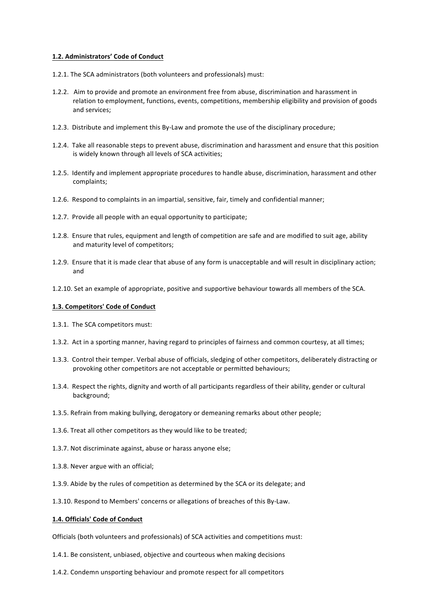## 1.2. Administrators' Code of Conduct

- 1.2.1. The SCA administrators (both volunteers and professionals) must:
- 1.2.2. Aim to provide and promote an environment free from abuse, discrimination and harassment in relation to employment, functions, events, competitions, membership eligibility and provision of goods and services;
- 1.2.3. Distribute and implement this By-Law and promote the use of the disciplinary procedure;
- 1.2.4. Take all reasonable steps to prevent abuse, discrimination and harassment and ensure that this position is widely known through all levels of SCA activities;
- 1.2.5. Identify and implement appropriate procedures to handle abuse, discrimination, harassment and other complaints;
- 1.2.6. Respond to complaints in an impartial, sensitive, fair, timely and confidential manner;
- 1.2.7. Provide all people with an equal opportunity to participate;
- 1.2.8. Ensure that rules, equipment and length of competition are safe and are modified to suit age, ability and maturity level of competitors;
- 1.2.9. Ensure that it is made clear that abuse of any form is unacceptable and will result in disciplinary action; and
- 1.2.10. Set an example of appropriate, positive and supportive behaviour towards all members of the SCA.

#### 1.3. Competitors' Code of Conduct

- 1.3.1. The SCA competitors must:
- 1.3.2. Act in a sporting manner, having regard to principles of fairness and common courtesy, at all times;
- 1.3.3. Control their temper. Verbal abuse of officials, sledging of other competitors, deliberately distracting or provoking other competitors are not acceptable or permitted behaviours;
- 1.3.4. Respect the rights, dignity and worth of all participants regardless of their ability, gender or cultural background;
- 1.3.5. Refrain from making bullying, derogatory or demeaning remarks about other people;
- 1.3.6. Treat all other competitors as they would like to be treated;
- 1.3.7. Not discriminate against, abuse or harass anyone else;
- 1.3.8. Never argue with an official;
- 1.3.9. Abide by the rules of competition as determined by the SCA or its delegate; and
- 1.3.10. Respond to Members' concerns or allegations of breaches of this By-Law.

#### 1.4. Officials' Code of Conduct

Officials (both volunteers and professionals) of SCA activities and competitions must:

- 1.4.1. Be consistent, unbiased, objective and courteous when making decisions
- 1.4.2. Condemn unsporting behaviour and promote respect for all competitors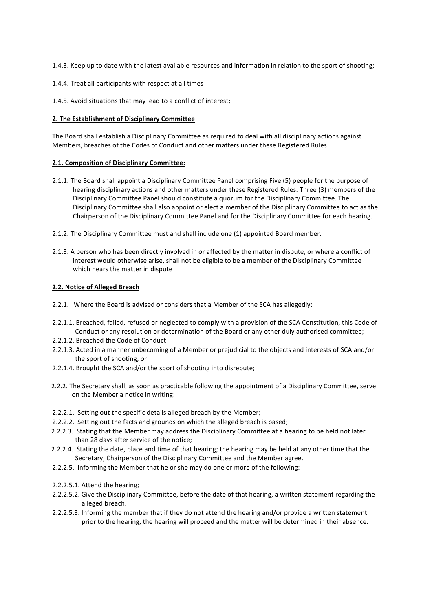- 1.4.3. Keep up to date with the latest available resources and information in relation to the sport of shooting;
- 1.4.4. Treat all participants with respect at all times
- 1.4.5. Avoid situations that may lead to a conflict of interest;

## **2. The Establishment of Disciplinary Committee**

The Board shall establish a Disciplinary Committee as required to deal with all disciplinary actions against Members, breaches of the Codes of Conduct and other matters under these Registered Rules

# **2.1. Composition of Disciplinary Committee:**

- 2.1.1. The Board shall appoint a Disciplinary Committee Panel comprising Five (5) people for the purpose of hearing disciplinary actions and other matters under these Registered Rules. Three (3) members of the Disciplinary Committee Panel should constitute a quorum for the Disciplinary Committee. The Disciplinary Committee shall also appoint or elect a member of the Disciplinary Committee to act as the Chairperson of the Disciplinary Committee Panel and for the Disciplinary Committee for each hearing.
- 2.1.2. The Disciplinary Committee must and shall include one (1) appointed Board member.
- 2.1.3. A person who has been directly involved in or affected by the matter in dispute, or where a conflict of interest would otherwise arise, shall not be eligible to be a member of the Disciplinary Committee which hears the matter in dispute

## **2.2. Notice of Alleged Breach**

- 2.2.1. Where the Board is advised or considers that a Member of the SCA has allegedly:
- 2.2.1.1. Breached, failed, refused or neglected to comply with a provision of the SCA Constitution, this Code of Conduct or any resolution or determination of the Board or any other duly authorised committee;
- 2.2.1.2. Breached the Code of Conduct
- 2.2.1.3. Acted in a manner unbecoming of a Member or prejudicial to the objects and interests of SCA and/or the sport of shooting; or
- 2.2.1.4. Brought the SCA and/or the sport of shooting into disrepute;
- 2.2.2. The Secretary shall, as soon as practicable following the appointment of a Disciplinary Committee, serve on the Member a notice in writing:
- 2.2.2.1. Setting out the specific details alleged breach by the Member;
- 2.2.2.2. Setting out the facts and grounds on which the alleged breach is based;
- 2.2.2.3. Stating that the Member may address the Disciplinary Committee at a hearing to be held not later than 28 days after service of the notice;
- 2.2.2.4. Stating the date, place and time of that hearing; the hearing may be held at any other time that the Secretary, Chairperson of the Disciplinary Committee and the Member agree.
- 2.2.2.5. Informing the Member that he or she may do one or more of the following:
- 2.2.2.5.1. Attend the hearing;
- 2.2.2.5.2. Give the Disciplinary Committee, before the date of that hearing, a written statement regarding the alleged breach.
- 2.2.2.5.3. Informing the member that if they do not attend the hearing and/or provide a written statement prior to the hearing, the hearing will proceed and the matter will be determined in their absence.

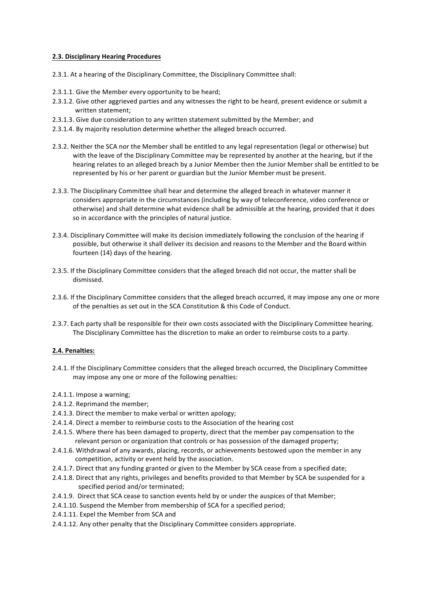## **2.3. Disciplinary Hearing Procedures**

- 2.3.1. At a hearing of the Disciplinary Committee, the Disciplinary Committee shall:
- 2.3.1.1. Give the Member every opportunity to be heard;
- 2.3.1.2. Give other aggrieved parties and any witnesses the right to be heard, present evidence or submit a written statement:
- 2.3.1.3. Give due consideration to any written statement submitted by the Member; and
- 2.3.1.4. By majority resolution determine whether the alleged breach occurred.
- 2.3.2. Neither the SCA nor the Member shall be entitled to any legal representation (legal or otherwise) but with the leave of the Disciplinary Committee may be represented by another at the hearing, but if the hearing relates to an alleged breach by a Junior Member then the Junior Member shall be entitled to be represented by his or her parent or guardian but the Junior Member must be present.
- 2.3.3. The Disciplinary Committee shall hear and determine the alleged breach in whatever manner it considers appropriate in the circumstances (including by way of teleconference, video conference or otherwise) and shall determine what evidence shall be admissible at the hearing, provided that it does so in accordance with the principles of natural justice.
- 2.3.4. Disciplinary Committee will make its decision immediately following the conclusion of the hearing if possible, but otherwise it shall deliver its decision and reasons to the Member and the Board within fourteen (14) days of the hearing.
- 2.3.5. If the Disciplinary Committee considers that the alleged breach did not occur, the matter shall be dismissed.
- 2.3.6. If the Disciplinary Committee considers that the alleged breach occurred, it may impose any one or more of the penalties as set out in the SCA Constitution & this Code of Conduct.
- 2.3.7. Each party shall be responsible for their own costs associated with the Disciplinary Committee hearing. The Disciplinary Committee has the discretion to make an order to reimburse costs to a party.

## **2.4. Penalties:**

- 2.4.1. If the Disciplinary Committee considers that the alleged breach occurred, the Disciplinary Committee may impose any one or more of the following penalties:
- 2.4.1.1. Impose a warning;
- 2.4.1.2. Reprimand the member;
- 2.4.1.3. Direct the member to make verbal or written apology;
- 2.4.1.4. Direct a member to reimburse costs to the Association of the hearing cost
- 2.4.1.5. Where there has been damaged to property, direct that the member pay compensation to the relevant person or organization that controls or has possession of the damaged property;
- 2.4.1.6. Withdrawal of any awards, placing, records, or achievements bestowed upon the member in any competition, activity or event held by the association.
- 2.4.1.7. Direct that any funding granted or given to the Member by SCA cease from a specified date;
- 2.4.1.8. Direct that any rights, privileges and benefits provided to that Member by SCA be suspended for a specified period and/or terminated;
- 2.4.1.9. Direct that SCA cease to sanction events held by or under the auspices of that Member;
- 2.4.1.10. Suspend the Member from membership of SCA for a specified period;
- 2.4.1.11. Expel the Member from SCA and
- 2.4.1.12. Any other penalty that the Disciplinary Committee considers appropriate.

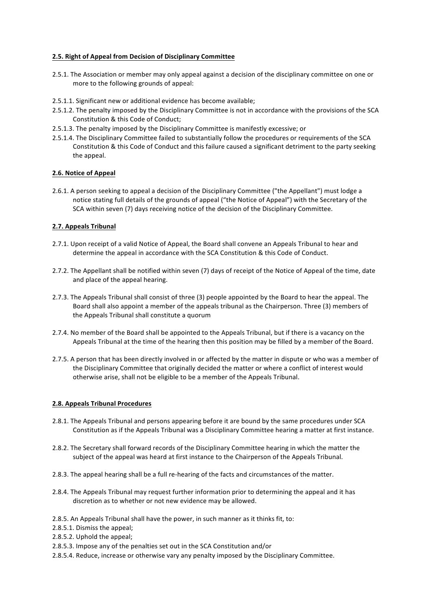## **2.5. Right of Appeal from Decision of Disciplinary Committee**

- 2.5.1. The Association or member may only appeal against a decision of the disciplinary committee on one or more to the following grounds of appeal:
- 2.5.1.1. Significant new or additional evidence has become available;
- 2.5.1.2. The penalty imposed by the Disciplinary Committee is not in accordance with the provisions of the SCA Constitution & this Code of Conduct;
- 2.5.1.3. The penalty imposed by the Disciplinary Committee is manifestly excessive; or
- 2.5.1.4. The Disciplinary Committee failed to substantially follow the procedures or requirements of the SCA Constitution & this Code of Conduct and this failure caused a significant detriment to the party seeking the appeal.

## **2.6. Notice of Appeal**

2.6.1. A person seeking to appeal a decision of the Disciplinary Committee ("the Appellant") must lodge a notice stating full details of the grounds of appeal ("the Notice of Appeal") with the Secretary of the SCA within seven (7) days receiving notice of the decision of the Disciplinary Committee.

## **2.7. Appeals Tribunal**

- 2.7.1. Upon receipt of a valid Notice of Appeal, the Board shall convene an Appeals Tribunal to hear and determine the appeal in accordance with the SCA Constitution & this Code of Conduct.
- 2.7.2. The Appellant shall be notified within seven (7) days of receipt of the Notice of Appeal of the time, date and place of the appeal hearing.
- 2.7.3. The Appeals Tribunal shall consist of three (3) people appointed by the Board to hear the appeal. The Board shall also appoint a member of the appeals tribunal as the Chairperson. Three (3) members of the Appeals Tribunal shall constitute a quorum
- 2.7.4. No member of the Board shall be appointed to the Appeals Tribunal, but if there is a vacancy on the Appeals Tribunal at the time of the hearing then this position may be filled by a member of the Board.
- 2.7.5. A person that has been directly involved in or affected by the matter in dispute or who was a member of the Disciplinary Committee that originally decided the matter or where a conflict of interest would otherwise arise, shall not be eligible to be a member of the Appeals Tribunal.

#### **2.8. Appeals Tribunal Procedures**

- 2.8.1. The Appeals Tribunal and persons appearing before it are bound by the same procedures under SCA Constitution as if the Appeals Tribunal was a Disciplinary Committee hearing a matter at first instance.
- 2.8.2. The Secretary shall forward records of the Disciplinary Committee hearing in which the matter the subject of the appeal was heard at first instance to the Chairperson of the Appeals Tribunal.
- 2.8.3. The appeal hearing shall be a full re-hearing of the facts and circumstances of the matter.
- 2.8.4. The Appeals Tribunal may request further information prior to determining the appeal and it has discretion as to whether or not new evidence may be allowed.
- 2.8.5. An Appeals Tribunal shall have the power, in such manner as it thinks fit, to:
- 2.8.5.1. Dismiss the appeal;
- 2.8.5.2. Uphold the appeal;
- 2.8.5.3. Impose any of the penalties set out in the SCA Constitution and/or
- 2.8.5.4. Reduce, increase or otherwise vary any penalty imposed by the Disciplinary Committee.